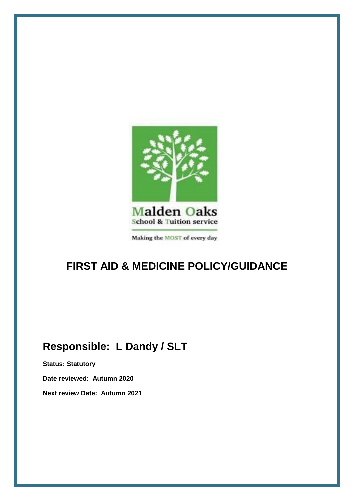

Making the MOST of every day

# **FIRST AID & MEDICINE POLICY/GUIDANCE**

# **Responsible: L Dandy / SLT**

**Status: Statutory**

**Date reviewed: Autumn 2020**

**Next review Date: Autumn 2021**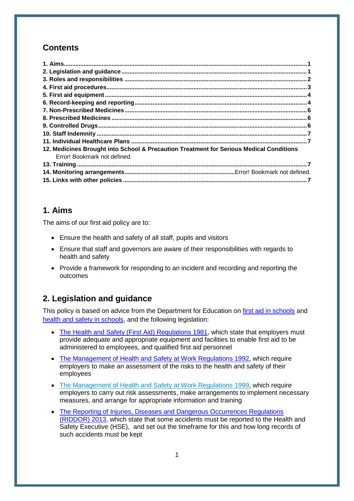# **Contents**

| 12. Medicines Brought into School & Precaution Treatment for Serious Medical Conditions |  |
|-----------------------------------------------------------------------------------------|--|
| Error! Bookmark not defined.                                                            |  |
|                                                                                         |  |
|                                                                                         |  |
|                                                                                         |  |

# **1. Aims**

The aims of our first aid policy are to:

- Ensure the health and safety of all staff, pupils and visitors
- Ensure that staff and governors are aware of their responsibilities with regards to health and safety
- Provide a framework for responding to an incident and recording and reporting the outcomes

# **2. Legislation and guidance**

This policy is based on advice from the Department for Education on [first aid in schools](https://www.gov.uk/government/publications/first-aid-in-schools) and [health and safety in schools,](https://www.gov.uk/government/publications/health-and-safety-advice-for-schools) and the following legislation:

- [The Health and Safety \(First Aid\) Regulations 1981,](http://www.legislation.gov.uk/uksi/1981/917/regulation/3/made) which state that employers must provide adequate and appropriate equipment and facilities to enable first aid to be administered to employees, and qualified first aid personnel
- [The Management of Health and Safety at Work Regulations 1992,](http://www.legislation.gov.uk/uksi/1992/2051/regulation/3/made) which require employers to make an assessment of the risks to the health and safety of their employees
- [The Management of Health and Safety at Work Regulations 1999,](http://www.legislation.gov.uk/uksi/1999/3242/contents/made) which require employers to carry out risk assessments, make arrangements to implement necessary measures, and arrange for appropriate information and training
- [The Reporting of Injuries, Diseases and Dangerous Occurrences Regulations](http://www.legislation.gov.uk/uksi/2013/1471/schedule/1/paragraph/1/made) [\(RIDDOR\)](http://www.legislation.gov.uk/uksi/2013/1471/schedule/1/paragraph/1/made) 2013, which state that some accidents must be reported to the Health and Safety Executive (HSE), and set out the timeframe for this and how long records of such accidents must be kept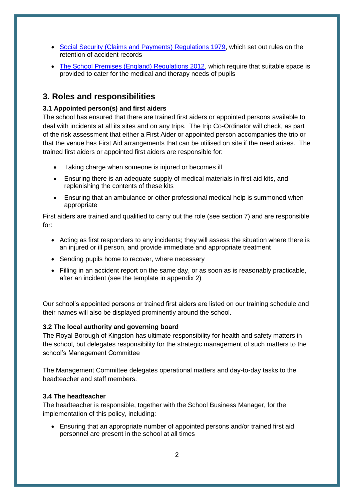- [Social Security \(Claims and Payments\) Regulations 1979,](http://www.legislation.gov.uk/uksi/1979/628) which set out rules on the retention of accident records
- [The School Premises \(England\) Regulations 2012,](http://www.legislation.gov.uk/uksi/2012/1943/regulation/5/made) which require that suitable space is provided to cater for the medical and therapy needs of pupils

# **3. Roles and responsibilities**

#### **3.1 Appointed person(s) and first aiders**

The school has ensured that there are trained first aiders or appointed persons available to deal with incidents at all its sites and on any trips. The trip Co-Ordinator will check, as part of the risk assessment that either a First Aider or appointed person accompanies the trip or that the venue has First Aid arrangements that can be utilised on site if the need arises. The trained first aiders or appointed first aiders are responsible for:

- Taking charge when someone is injured or becomes ill
- Ensuring there is an adequate supply of medical materials in first aid kits, and replenishing the contents of these kits
- Ensuring that an ambulance or other professional medical help is summoned when appropriate

First aiders are trained and qualified to carry out the role (see section 7) and are responsible for:

- Acting as first responders to any incidents; they will assess the situation where there is an injured or ill person, and provide immediate and appropriate treatment
- Sending pupils home to recover, where necessary
- Filling in an accident report on the same day, or as soon as is reasonably practicable, after an incident (see the template in appendix 2)

Our school's appointed persons or trained first aiders are listed on our training schedule and their names will also be displayed prominently around the school.

#### **3.2 The local authority and governing board**

The Royal Borough of Kingston has ultimate responsibility for health and safety matters in the school, but delegates responsibility for the strategic management of such matters to the school's Management Committee

The Management Committee delegates operational matters and day-to-day tasks to the headteacher and staff members.

#### **3.4 The headteacher**

The headteacher is responsible, together with the School Business Manager, for the implementation of this policy, including:

 Ensuring that an appropriate number of appointed persons and/or trained first aid personnel are present in the school at all times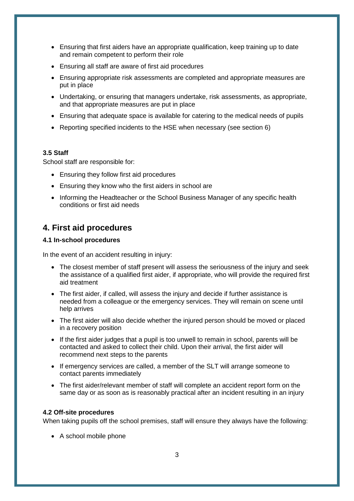- Ensuring that first aiders have an appropriate qualification, keep training up to date and remain competent to perform their role
- Ensuring all staff are aware of first aid procedures
- Ensuring appropriate risk assessments are completed and appropriate measures are put in place
- Undertaking, or ensuring that managers undertake, risk assessments, as appropriate, and that appropriate measures are put in place
- Ensuring that adequate space is available for catering to the medical needs of pupils
- Reporting specified incidents to the HSE when necessary (see section 6)

#### **3.5 Staff**

School staff are responsible for:

- Ensuring they follow first aid procedures
- Ensuring they know who the first aiders in school are
- Informing the Headteacher or the School Business Manager of any specific health conditions or first aid needs

## **4. First aid procedures**

#### **4.1 In-school procedures**

In the event of an accident resulting in injury:

- The closest member of staff present will assess the seriousness of the injury and seek the assistance of a qualified first aider, if appropriate, who will provide the required first aid treatment
- The first aider, if called, will assess the injury and decide if further assistance is needed from a colleague or the emergency services. They will remain on scene until help arrives
- The first aider will also decide whether the injured person should be moved or placed in a recovery position
- If the first aider judges that a pupil is too unwell to remain in school, parents will be contacted and asked to collect their child. Upon their arrival, the first aider will recommend next steps to the parents
- If emergency services are called, a member of the SLT will arrange someone to contact parents immediately
- The first aider/relevant member of staff will complete an accident report form on the same day or as soon as is reasonably practical after an incident resulting in an injury

#### **4.2 Off-site procedures**

When taking pupils off the school premises, staff will ensure they always have the following:

• A school mobile phone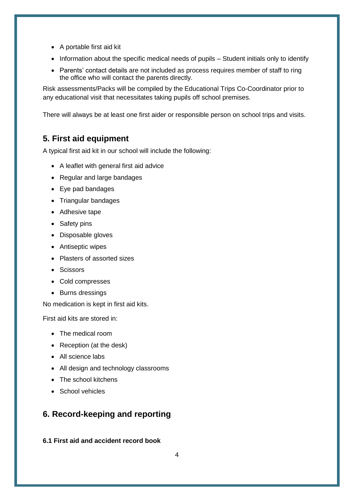- A portable first aid kit
- Information about the specific medical needs of pupils Student initials only to identify
- Parents' contact details are not included as process requires member of staff to ring the office who will contact the parents directly.

Risk assessments/Packs will be compiled by the Educational Trips Co-Coordinator prior to any educational visit that necessitates taking pupils off school premises.

There will always be at least one first aider or responsible person on school trips and visits.

# **5. First aid equipment**

A typical first aid kit in our school will include the following:

- A leaflet with general first aid advice
- Regular and large bandages
- Eye pad bandages
- Triangular bandages
- Adhesive tape
- Safety pins
- Disposable gloves
- Antiseptic wipes
- Plasters of assorted sizes
- Scissors
- Cold compresses
- Burns dressings

No medication is kept in first aid kits.

First aid kits are stored in:

- The medical room
- Reception (at the desk)
- All science labs
- All design and technology classrooms
- The school kitchens
- School vehicles

# **6. Record-keeping and reporting**

**6.1 First aid and accident record book**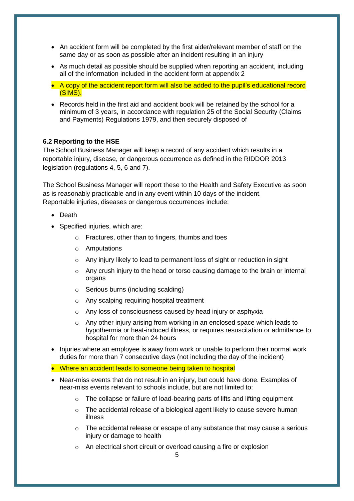- An accident form will be completed by the first aider/relevant member of staff on the same day or as soon as possible after an incident resulting in an injury
- As much detail as possible should be supplied when reporting an accident, including all of the information included in the accident form at appendix 2
- A copy of the accident report form will also be added to the pupil's educational record (SIMS).
- Records held in the first aid and accident book will be retained by the school for a minimum of 3 years, in accordance with regulation 25 of the Social Security (Claims and Payments) Regulations 1979, and then securely disposed of

#### **6.2 Reporting to the HSE**

The School Business Manager will keep a record of any accident which results in a reportable injury, disease, or dangerous occurrence as defined in the RIDDOR 2013 legislation (regulations 4, 5, 6 and 7).

The School Business Manager will report these to the Health and Safety Executive as soon as is reasonably practicable and in any event within 10 days of the incident. Reportable injuries, diseases or dangerous occurrences include:

- Death
- Specified injuries, which are:
	- o Fractures, other than to fingers, thumbs and toes
	- o Amputations
	- o Any injury likely to lead to permanent loss of sight or reduction in sight
	- $\circ$  Any crush injury to the head or torso causing damage to the brain or internal organs
	- o Serious burns (including scalding)
	- o Any scalping requiring hospital treatment
	- o Any loss of consciousness caused by head injury or asphyxia
	- $\circ$  Any other injury arising from working in an enclosed space which leads to hypothermia or heat-induced illness, or requires resuscitation or admittance to hospital for more than 24 hours
- Injuries where an employee is away from work or unable to perform their normal work duties for more than 7 consecutive days (not including the day of the incident)
- Where an accident leads to someone being taken to hospital
- Near-miss events that do not result in an injury, but could have done. Examples of near-miss events relevant to schools include, but are not limited to:
	- o The collapse or failure of load-bearing parts of lifts and lifting equipment
	- $\circ$  The accidental release of a biological agent likely to cause severe human illness
	- $\circ$  The accidental release or escape of any substance that may cause a serious injury or damage to health
	- o An electrical short circuit or overload causing a fire or explosion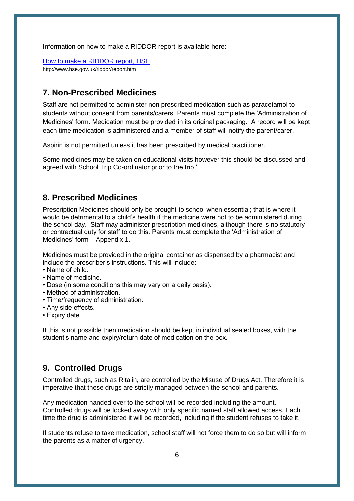Information on how to make a RIDDOR report is available here:

[How to make a RIDDOR report, HSE](http://www.hse.gov.uk/riddor/report.htm) http://www.hse.gov.uk/riddor/report.htm

### **7. Non-Prescribed Medicines**

Staff are not permitted to administer non prescribed medication such as paracetamol to students without consent from parents/carers. Parents must complete the 'Administration of Medicines' form. Medication must be provided in its original packaging. A record will be kept each time medication is administered and a member of staff will notify the parent/carer.

Aspirin is not permitted unless it has been prescribed by medical practitioner.

Some medicines may be taken on educational visits however this should be discussed and agreed with School Trip Co-ordinator prior to the trip.'

### **8. Prescribed Medicines**

Prescription Medicines should only be brought to school when essential; that is where it would be detrimental to a child's health if the medicine were not to be administered during the school day. Staff may administer prescription medicines, although there is no statutory or contractual duty for staff to do this. Parents must complete the 'Administration of Medicines' form – Appendix 1.

Medicines must be provided in the original container as dispensed by a pharmacist and include the prescriber's instructions. This will include:

- Name of child.
- Name of medicine.
- Dose (in some conditions this may vary on a daily basis).
- Method of administration.
- Time/frequency of administration.
- Any side effects.
- Expiry date.

If this is not possible then medication should be kept in individual sealed boxes, with the student's name and expiry/return date of medication on the box.

## **9. Controlled Drugs**

Controlled drugs, such as Ritalin, are controlled by the Misuse of Drugs Act. Therefore it is imperative that these drugs are strictly managed between the school and parents.

Any medication handed over to the school will be recorded including the amount. Controlled drugs will be locked away with only specific named staff allowed access. Each time the drug is administered it will be recorded, including if the student refuses to take it.

If students refuse to take medication, school staff will not force them to do so but will inform the parents as a matter of urgency.